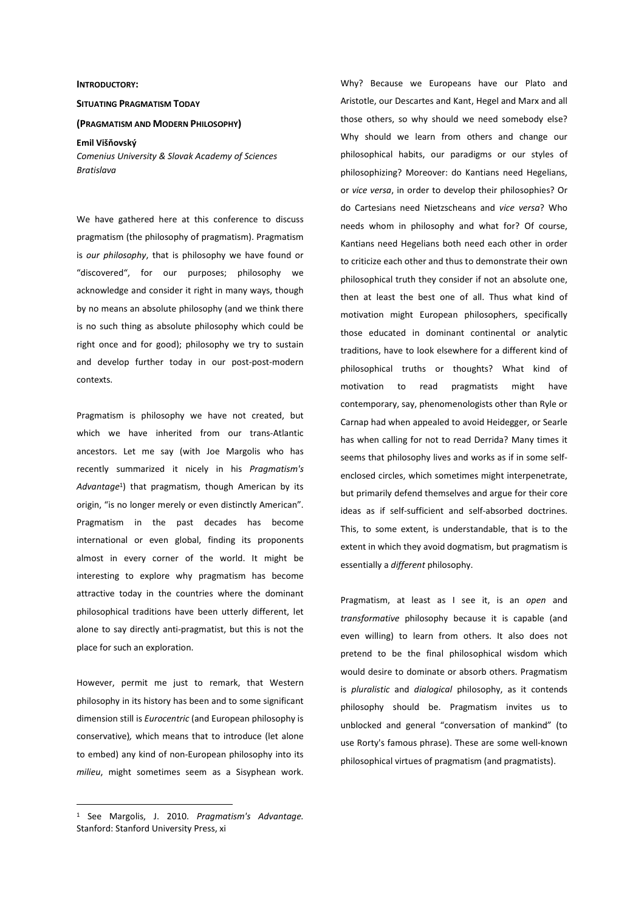## **INTRODUCTORY:**

## **SITUATING PRAGMATISM TODAY**

## **(PRAGMATISM AND MODERN PHILOSOPHY)**

**Emil Višňovský**  *Comenius University & Slovak Academy of Sciences Bratislava* 

We have gathered here at this conference to discuss pragmatism (the philosophy of pragmatism). Pragmatism is *our philosophy*, that is philosophy we have found or "discovered", for our purposes; philosophy we acknowledge and consider it right in many ways, though by no means an absolute philosophy (and we think there is no such thing as absolute philosophy which could be right once and for good); philosophy we try to sustain and develop further today in our post-post-modern contexts.

Pragmatism is philosophy we have not created, but which we have inherited from our trans-Atlantic ancestors. Let me say (with Joe Margolis who has recently summarized it nicely in his *Pragmatism's Advantage*<sup>1</sup> ) that pragmatism, though American by its origin, "is no longer merely or even distinctly American". Pragmatism in the past decades has become international or even global, finding its proponents almost in every corner of the world. It might be interesting to explore why pragmatism has become attractive today in the countries where the dominant philosophical traditions have been utterly different, let alone to say directly anti-pragmatist, but this is not the place for such an exploration.

However, permit me just to remark, that Western philosophy in its history has been and to some significant dimension still is *Eurocentric* (and European philosophy is conservative)*,* which means that to introduce (let alone to embed) any kind of non-European philosophy into its *milieu*, might sometimes seem as a Sisyphean work.

 $\overline{a}$ 

Why? Because we Europeans have our Plato and Aristotle, our Descartes and Kant, Hegel and Marx and all those others, so why should we need somebody else? Why should we learn from others and change our philosophical habits, our paradigms or our styles of philosophizing? Moreover: do Kantians need Hegelians, or *vice versa*, in order to develop their philosophies? Or do Cartesians need Nietzscheans and *vice versa*? Who needs whom in philosophy and what for? Of course, Kantians need Hegelians both need each other in order to criticize each other and thus to demonstrate their own philosophical truth they consider if not an absolute one, then at least the best one of all. Thus what kind of motivation might European philosophers, specifically those educated in dominant continental or analytic traditions, have to look elsewhere for a different kind of philosophical truths or thoughts? What kind of motivation to read pragmatists might have contemporary, say, phenomenologists other than Ryle or Carnap had when appealed to avoid Heidegger, or Searle has when calling for not to read Derrida? Many times it seems that philosophy lives and works as if in some selfenclosed circles, which sometimes might interpenetrate, but primarily defend themselves and argue for their core ideas as if self-sufficient and self-absorbed doctrines. This, to some extent, is understandable, that is to the extent in which they avoid dogmatism, but pragmatism is essentially a *different* philosophy.

Pragmatism, at least as I see it, is an *open* and *transformative* philosophy because it is capable (and even willing) to learn from others. It also does not pretend to be the final philosophical wisdom which would desire to dominate or absorb others. Pragmatism is *pluralistic* and *dialogical* philosophy, as it contends philosophy should be. Pragmatism invites us to unblocked and general "conversation of mankind" (to use Rorty's famous phrase). These are some well-known philosophical virtues of pragmatism (and pragmatists).

<sup>1</sup> See Margolis, J. 2010. *Pragmatism's Advantage.*  Stanford: Stanford University Press, xi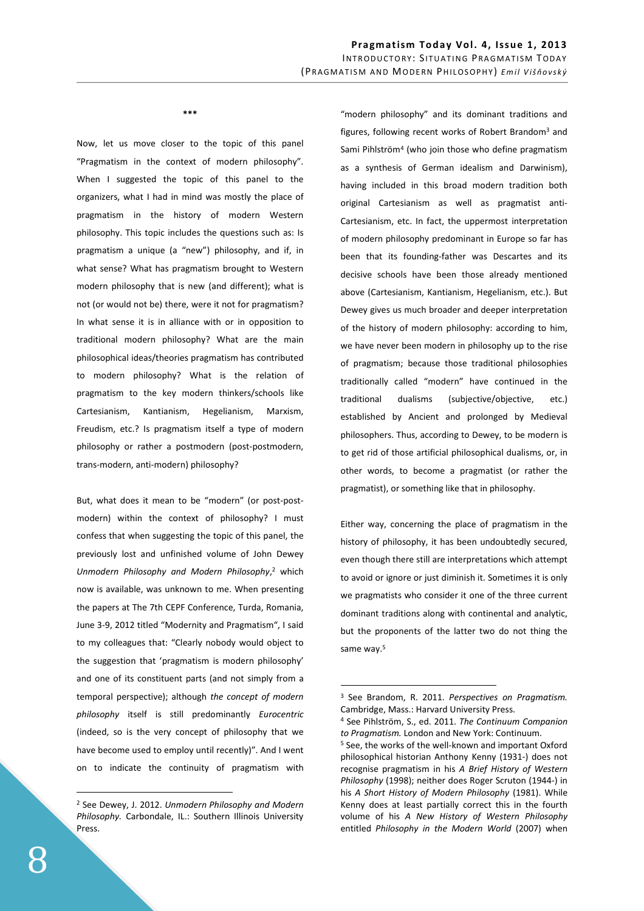**\*\*\*** 

Now, let us move closer to the topic of this panel "Pragmatism in the context of modern philosophy". When I suggested the topic of this panel to the organizers, what I had in mind was mostly the place of pragmatism in the history of modern Western philosophy. This topic includes the questions such as: Is pragmatism a unique (a "new") philosophy, and if, in what sense? What has pragmatism brought to Western modern philosophy that is new (and different); what is not (or would not be) there, were it not for pragmatism? In what sense it is in alliance with or in opposition to traditional modern philosophy? What are the main philosophical ideas/theories pragmatism has contributed to modern philosophy? What is the relation of pragmatism to the key modern thinkers/schools like Cartesianism, Kantianism, Hegelianism, Marxism, Freudism, etc.? Is pragmatism itself a type of modern philosophy or rather a postmodern (post-postmodern, trans-modern, anti-modern) philosophy?

But, what does it mean to be "modern" (or post-postmodern) within the context of philosophy? I must confess that when suggesting the topic of this panel, the previously lost and unfinished volume of John Dewey Unmodern Philosophy and Modern Philosophy,<sup>2</sup> which now is available, was unknown to me. When presenting the papers at The 7th CEPF Conference, Turda, Romania, June 3-9, 2012 titled "Modernity and Pragmatism", I said to my colleagues that: "Clearly nobody would object to the suggestion that 'pragmatism is modern philosophy' and one of its constituent parts (and not simply from a temporal perspective); although *the concept of modern philosophy* itself is still predominantly *Eurocentric* (indeed, so is the very concept of philosophy that we have become used to employ until recently)". And I went on to indicate the continuity of pragmatism with

"modern philosophy" and its dominant traditions and figures, following recent works of Robert Brandom<sup>3</sup> and Sami Pihlström<sup>4</sup> (who join those who define pragmatism as a synthesis of German idealism and Darwinism), having included in this broad modern tradition both original Cartesianism as well as pragmatist anti-Cartesianism, etc. In fact, the uppermost interpretation of modern philosophy predominant in Europe so far has been that its founding-father was Descartes and its decisive schools have been those already mentioned above (Cartesianism, Kantianism, Hegelianism, etc.). But Dewey gives us much broader and deeper interpretation of the history of modern philosophy: according to him, we have never been modern in philosophy up to the rise of pragmatism; because those traditional philosophies traditionally called "modern" have continued in the traditional dualisms (subjective/objective, etc.) established by Ancient and prolonged by Medieval philosophers. Thus, according to Dewey, to be modern is to get rid of those artificial philosophical dualisms, or, in other words, to become a pragmatist (or rather the pragmatist), or something like that in philosophy.

Either way, concerning the place of pragmatism in the history of philosophy, it has been undoubtedly secured, even though there still are interpretations which attempt to avoid or ignore or just diminish it. Sometimes it is only we pragmatists who consider it one of the three current dominant traditions along with continental and analytic, but the proponents of the latter two do not thing the same way.<sup>5</sup>

 $\overline{a}$ 

 $\overline{a}$ 

<sup>2</sup> See Dewey, J. 2012. *Unmodern Philosophy and Modern Philosophy.* Carbondale, IL.: Southern Illinois University Press.

<sup>3</sup> See Brandom, R. 2011. *Perspectives on Pragmatism.*  Cambridge, Mass.: Harvard University Press.

<sup>4</sup> See Pihlström, S., ed. 2011. *The Continuum Companion to Pragmatism.* London and New York: Continuum.

<sup>&</sup>lt;sup>5</sup> See, the works of the well-known and important Oxford philosophical historian Anthony Kenny (1931-) does not recognise pragmatism in his *A Brief History of Western Philosophy* (1998); neither does Roger Scruton (1944-) in his *A Short History of Modern Philosophy* (1981). While Kenny does at least partially correct this in the fourth volume of his *A New History of Western Philosophy* entitled *Philosophy in the Modern World* (2007) when